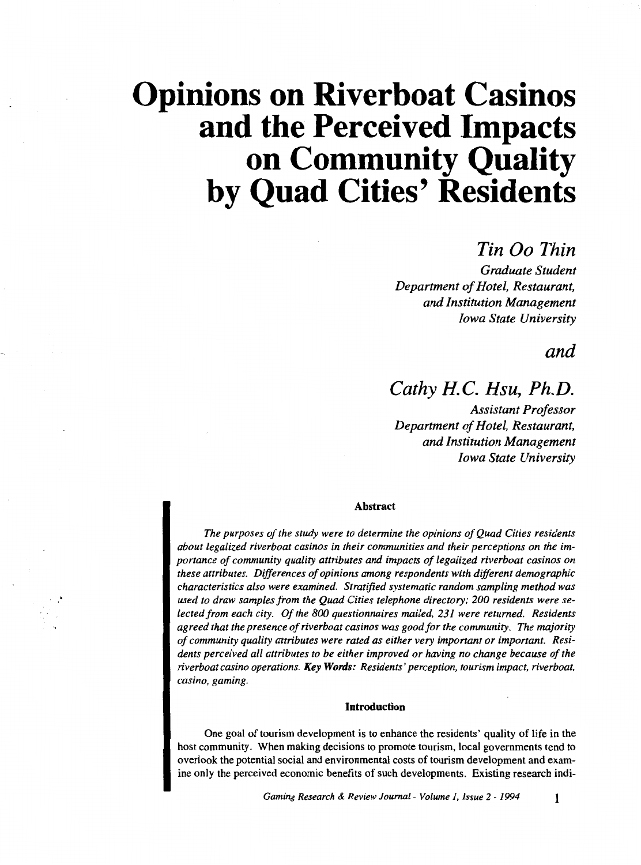### *Tin Oo Thin*

*Graduate Student Department of Hotel, Restaurant, and Institution Management Iowa State University* 

*and* 

### *Cathy H. C. Hsu, Ph.D.*

*Assistant Professor Department of Hotel, Restaurant, and Institution Management Iowa State University* 

#### Abstract

*The purposes of the study were to determine the opinions of Quad Cities residents about legalized riverboat casinos in their communities and their perceptions on the importance of community quality attributes and impacts of legalized riverboat casinos on these attributes. Differences of opinions among respondents with different demographic characteristics also were examined. Stratified systematic random sampling method was used to draw samples from the Quad Cities telephone directory; 200 residents were selected from each city. Of the 800 questionnaires mailed, 231 were returned. Residents agreed that the presence of riverboat casinos was good for the community. The majority of community quality attributes were rated as either very important or important. Residents perceived all attributes to be either improved or having no change because of the riverboat casino operations. Key Words: Residents' perception, tourism impact, riverboat, casino, gaming.* 

#### Introduction

One goal of tourism development is to enhance the residents' quality of life in the host community. When making decisions to promote tourism, local governments tend to overlook the potential social and environmental costs of tourism development and examine only the perceived economic benefits of such developments. Existing research indi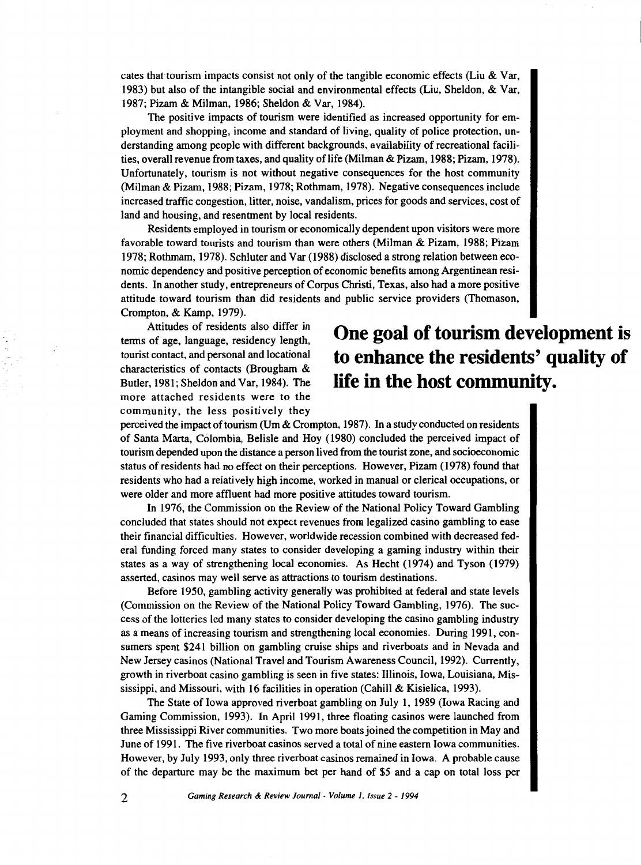cates that tourism impacts consist not only of the tangible economic effects (Liu  $\&$  Var, 1983) but also of the intangible social and environmental effects (Liu, Sheldon, & Var, 1987; Pizam & Milman, 1986; Sheldon & Var, 1984).

The positive impacts of tourism were identified as increased opportunity for employment and shopping, income and standard of living, quality of police protection, understanding among people with different backgrounds, availability of recreational facilities, overall revenue from taxes, and quality of life (Milman & Pizam, 1988; Pizam, 1978). Unfortunately, tourism is not without negative consequences for the host community (Milman & Pizam, 1988; Pizam, 1978; Rothmam, 1978). Negative consequences include increased traffic congestion, litter, noise, vandalism, prices for goods and services, cost of land and housing, and resentment by local residents.

Residents employed in tourism or economically dependent upon visitors were more favorable toward tourists and tourism than were others (Milman & Pizam, 1988; Pizam 1978; Rothmam, 1978). Schluter and V ar (1988) disclosed a strong relation between economic dependency and positive perception of economic benefits among Argentinean residents. In another study, entrepreneurs of Corpus Christi, Texas, also had a more positive attitude toward tourism than did residents and public service providers (Thomason, Crompton, & Kamp, 1979).

Attitudes of residents also differ in terms of age, language, residency length, tourist contact, and personal and locational characteristics of contacts (Brougham & Butler, 1981; Sheldon and Var, 1984). The more attached residents were to the community, the less positively they

### **One goal of tourism development is to enhance the residents' quality of life in the host community.**

perceived the impact of tourism (Um & Crompton, 1987). In a study conducted on residents of Santa Marta, Colombia, Belisle and Hoy (1980) concluded the perceived impact of tourism depended upon the distance a person lived from the tourist zone, and socioeconomic status of residents had no effect on their perceptions. However, Pizam ( 1978) found that residents who had a relatively high income, worked in manual or clerical occupations, or were older and more affluent had more positive attitudes toward tourism.

In 1976, the Commission on the Review of the National Policy Toward Gambling concluded that states should not expect revenues from legalized casino gambling to ease their financial difficulties. However, worldwide recession combined with decreased federal funding forced many states to consider developing a gaming industry within their states as a way of strengthening local economies. As Hecht (1974) and Tyson (1979) asserted, casinos may well serve as attractions to tourism destinations.

Before 1950, gambling activity generally was prohibited at federal and state levels (Commission on the Review of the National Policy Toward Gambling, 1976). The success of the lotteries led many states to consider developing the casino gambling industry as a means of increasing tourism and strengthening local economies. During 1991, consumers spent \$241 billion on gambling cruise ships and riverboats and in Nevada and New Jersey casinos (National Travel and Tourism Awareness Council, 1992). Currently, growth in riverboat casino gambling is seen in five states: Illinois, Iowa, Louisiana, Mississippi, and Missouri, with 16 facilities in operation (Cahill & Kisielica, 1993).

The State of Iowa approved riverboat gambling on July 1, 1989 (Iowa Racing and Gaming Commission, 1993). In April 1991, three floating casinos were launched from three Mississippi River communities. Two more boats joined the competition in May and June of 1991. The five riverboat casinos served a total of nine eastern Iowa communities. However, by July 1993, only three riverboat casinos remained in Iowa. A probable cause of the departure may be the maximum bet per hand of \$5 and a cap on total loss per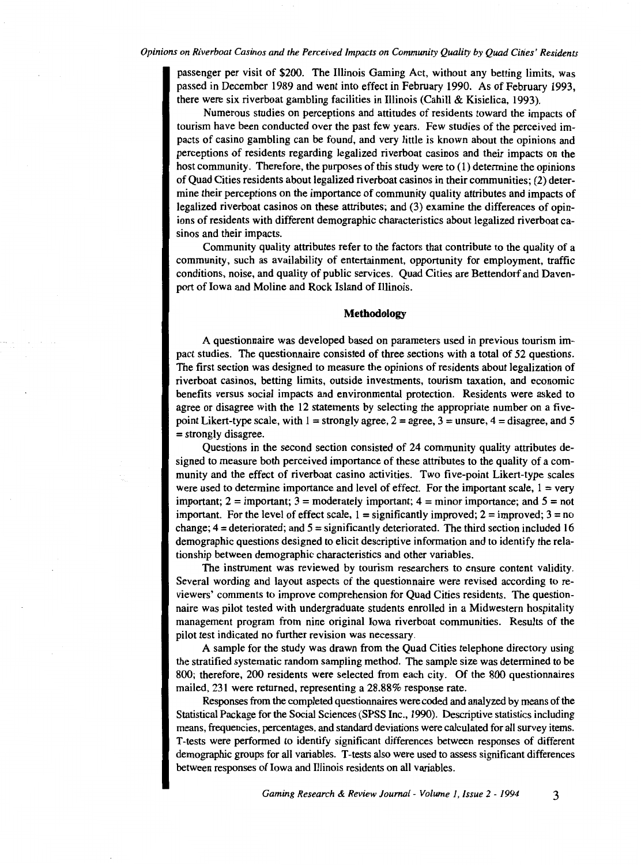passenger per visit of \$200. The Illinois Gaming Act, without any betting limits, was passed in December 1989 and went into effect in February 1990. As of February 1993, there were six riverboat gambling facilities in Illinois (Cahill & Kisielica, 1993).

Numerous studies on perceptions and attitudes of residents toward the impacts of tourism have been conducted over the past few years. Few studies of the perceived impacts of casino gambling can be found, and very little is known about the opinions and perceptions of residents regarding legalized riverboat casinos and their impacts on the host community. Therefore, the purposes of this study were to (1) determine the opinions of Quad Cities residents about legalized riverboat casinos in their communities; (2) determine their perceptions on the importance of community quality attributes and impacts of legalized riverboat casinos on these attributes; and (3) examine the differences of opinions of residents with different demographic characteristics about legalized riverboat casinos and their impacts.

Community quality attributes refer to the factors that contribute to the quality of a community, such as availability of entertainment, opportunity for employment, traffic conditions, noise, and quality of public services. Quad Cities are Bettendorf and Davenport of Iowa and Moline and Rock Island of Illinois.

#### **Methodology**

A questionnaire was developed based on parameters used in previous tourism impact studies. The questionnaire consisted of three sections with a total of 52 questions. The first section was designed to measure the opinions of residents about legalization of riverboat casinos, betting limits, outside investments, tourism taxation, and economic benefits versus social impacts and environmental protection. Residents were asked to agree or disagree with the 12 statements by selecting the appropriate number on a fivepoint Likert-type scale, with  $1 =$  strongly agree,  $2 =$  agree,  $3 =$  unsure,  $4 =$  disagree, and 5 = strongly disagree.

Questions in the second section consisted of 24 community quality attributes designed to measure both perceived importance of these attributes to the quality of a community and the effect of riverboat casino activities. Two five-point Likert-type scales were used to determine importance and level of effect. For the important scale,  $1 = \text{very}$ important; 2 = important; 3 = moderately important; 4 = minor importance; and *5* = not important. For the level of effect scale,  $1 =$  significantly improved;  $2 =$  improved;  $3 =$  no change;  $4 =$  deteriorated; and  $5 =$  significantly deteriorated. The third section included 16 demographic questions designed to elicit descriptive information and to identify the relationship between demographic characteristics and other variables.

The instrument was reviewed by tourism researchers to ensure content validity. Several wording and layout aspects of the questionnaire were revised according to reviewers' comments to improve comprehension for Quad Cities residents. The questionnaire was pilot tested with undergraduate students enrolled in a Midwestern hospitality management program from nine original Iowa riverboat communities. Results of the pilot test indicated no further revision was necessary.

A sample for the study was drawn from the Quad Cities telephone directory using the stratified systematic random sampling method. The sample size was determined to be 800; therefore, 200 residents were selected from each city. Of the 800 questionnaires mailed, 231 were returned, representing a 28.88% response rate.

Responses from the completed questionnaires were coded and analyzed by means of the Statistical Package for the Social Sciences (SPSS Inc., 1990). Descriptive statistics including means, frequencies, percentages, and standard deviations were calculated for all survey items. T -tests were performed to identify significant differences between responses of different demographic groups for all variables. T -tests also were used to assess significant differences between responses of Iowa and Illinois residents on all variables.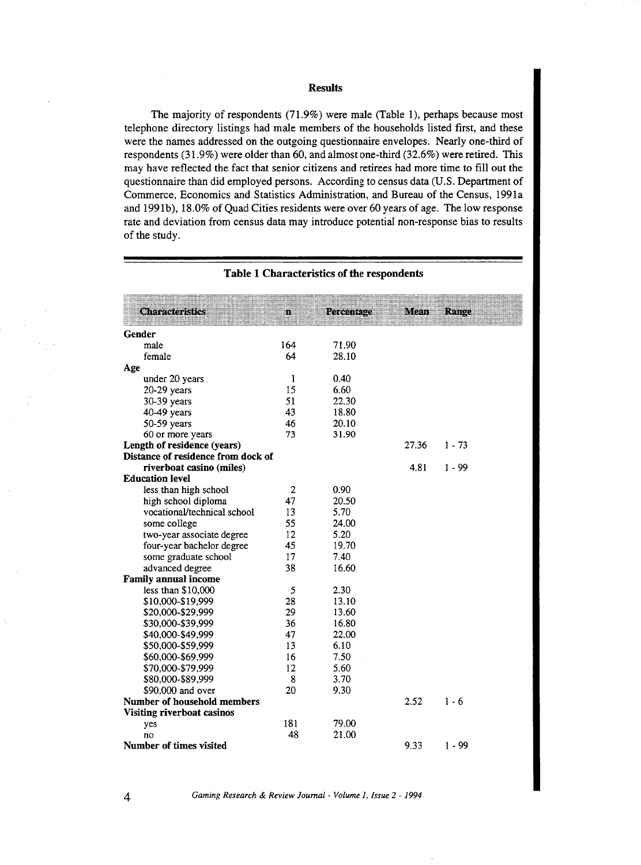#### Results

The majority of respondents (71.9%) were male (Table 1), perhaps because most telephone directory listings had male members of the households listed first, and these were the names addressed on the outgoing questionnaire envelopes. Nearly one-third of respondents (31.9%) were older than 60, and almost one-third (32.6%) were retired. This may have reflected the fact that senior citizens and retirees had more time to fill out the questionnaire than did employed persons. According to census data (U.S. Department of Commerce, Economics and Statistics Administration, and Bureau of the Census, 1991a and 1991b), 18.0% of Quad Cities residents were over 60 years of age. The low response rate and deviation from census data may introduce potential non-response bias to results of the study.

| <b>Characteristics</b>             | щ              | Percentage | Mean  | Range    |
|------------------------------------|----------------|------------|-------|----------|
| Gender                             |                |            |       |          |
| male                               | 164            | 71.90      |       |          |
| female                             | 64             | 28.10      |       |          |
| Age                                |                |            |       |          |
| under 20 years                     | 1              | 0.40       |       |          |
| $20-29$ years                      | 15             | 6.60       |       |          |
| 30-39 years                        | 51             | 22.30      |       |          |
| $40-49$ years                      | 43             | 18.80      |       |          |
| 50-59 years                        | 46             | 20.10      |       |          |
| 60 or more years                   | 73             | 31.90      |       |          |
| Length of residence (years)        |                |            | 27.36 | $1 - 73$ |
| Distance of residence from dock of |                |            |       |          |
| riverboat casino (miles)           |                |            | 4.81  | $1 - 99$ |
| <b>Education level</b>             |                |            |       |          |
| less than high school              | $\overline{2}$ | 0.90       |       |          |
| high school diploma                | 47             | 20.50      |       |          |
| vocational/technical school        | 13             | 5.70       |       |          |
| some college                       | 55             | 24.00      |       |          |
| two-year associate degree          | 12             | 5.20       |       |          |
| four-year bachelor degree          | 45             | 19.70      |       |          |
| some graduate school               | 17             | 7.40       |       |          |
| advanced degree                    | 38             | 16.60      |       |          |
| Family annual income               |                |            |       |          |
| less than \$10,000                 | 5              | 2.30       |       |          |
| \$10,000-\$19,999                  | 28             | 13.10      |       |          |
| \$20,000-\$29,999                  | 29             | 13.60      |       |          |
| \$30,000-\$39,999                  | 36             | 16.80      |       |          |
| \$40,000-\$49,999                  | 47             | 22.00      |       |          |
| \$50,000-\$59,999                  | 13             | 6.10       |       |          |
| \$60,000-\$69.999                  | 16             | 7.50       |       |          |
| \$70,000-\$79,999                  | 12             | 5.60       |       |          |
| \$80,000-\$89,999                  | 8              | 3.70       |       |          |
| \$90,000 and over                  | 20             | 9.30       |       |          |
| Number of household members        |                |            | 2.52  | $1 - 6$  |
| Visiting riverboat casinos         |                |            |       |          |
| yes                                | 181<br>48      | 79.00      |       |          |
| no<br>Number of times visited      |                | 21.00      | 9.33  | $1 - 99$ |
|                                    |                |            |       |          |

#### Table 1 Characteristics of the respondents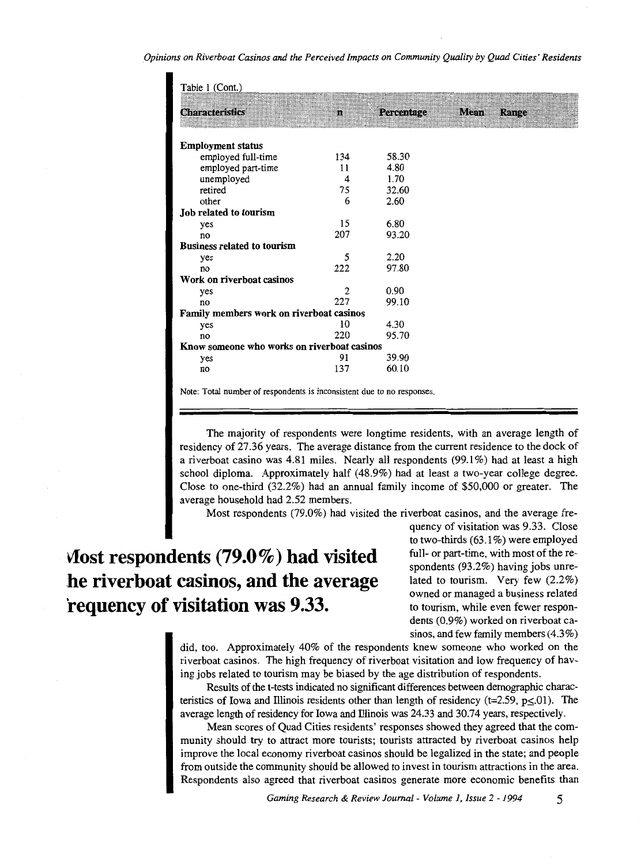| Table 1 (Cont.)                             |                |                   |             |       |
|---------------------------------------------|----------------|-------------------|-------------|-------|
| <b>Characteristics</b>                      | $\mathbf{n}$   | <b>Percentage</b> | <b>Mean</b> | Range |
| <b>Employment status</b>                    |                |                   |             |       |
| employed full-time                          | 134            | 58.30             |             |       |
| employed part-time                          | 11             | 4.80              |             |       |
| unemployed                                  | 4              | 1.70              |             |       |
| retired                                     | 75             | 32.60             |             |       |
| other                                       | 6              | 2.60              |             |       |
| Job related to tourism                      |                |                   |             |       |
| yes                                         | 15             | 6.80              |             |       |
| no                                          | 207            | 93.20             |             |       |
| <b>Business related to tourism</b>          |                |                   |             |       |
| yes                                         | 5              | 2.20              |             |       |
| no                                          | 222            | 97.80             |             |       |
| Work on riverboat casinos                   |                |                   |             |       |
| yes                                         | $\overline{2}$ | 0.90              |             |       |
| no                                          | 227            | 99.10             |             |       |
| Family members work on riverboat casinos    |                |                   |             |       |
| yes                                         | 10             | 4.30              |             |       |
| no                                          | 220            | 95.70             |             |       |
| Know someone who works on riverboat casinos |                |                   |             |       |
| yes                                         | 91             | 39.90             |             |       |
| no                                          | 137            | 60.10             |             |       |
|                                             |                |                   |             |       |

Note: Total number of respondents is inconsistent due to no responses.

The majority of respondents were longtime residents, with an average length of residency of 27.36 years. The average distance from the current residence to the dock of a riverboat casino was 4.81 miles. Nearly all respondents (99.1 %) had at least a high school diploma. Approximately half (48.9%) had at least a two-year college degree. Close to one-third (32.2%) had an annual family income of \$50,000 or greater. The average household had 2.52 members.

Most respondents (79.0%) had visited the riverboat casinos, and the average fre-

## **\1ost respondents (79.0%) had visited be riverboat casinos, and the average 'requency of visitation was 9.33.**

quency of visitation was 9.33. Close to two-thirds (63.1%) were employed full- or part-time, with most of the respondents (93.2%) having jobs unrelated to tourism. Very few (2.2%) owned or managed a business related to tourism, while even fewer respondents (0.9%) worked on riverboat casinos, and few family members  $(4.3\%)$ 

did, too. Approximately 40% of the respondents knew someone who worked on the riverboat casinos. The high frequency of riverboat visitation and low frequency of having jobs related to tourism may be biased by the age distribution of respondents.

Results of the t-tests indicated no significant differences between demographic characteristics of Iowa and Illinois residents other than length of residency (t=2.59, p $\leq$ 01). The average length of residency for Iowa and lllinois was 24.33 and 30.74 years, respectively.

Mean scores of Quad Cities residents' responses showed they agreed that the community should try to attract more tourists; tourists attracted by riverboat casinos help improve the local economy riverboat casinos should be legalized in the state; and people from outside the community should be allowed to invest in tourism attractions in the area. Respondents also agreed that riverboat casinos generate more economic benefits than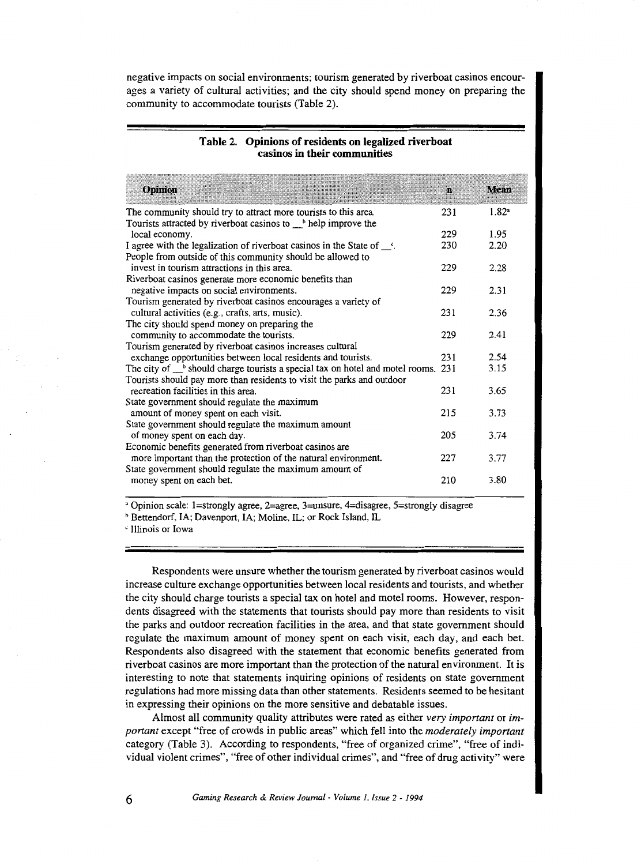negative impacts on social environments; tourism generated by riverboat casinos encourages a variety of cultural activities; and the city should spend money on preparing the community to accommodate tourists (Table 2).

#### **Table 2. Opinions of residents on legalized riverboat**  casinos **in their communities**

| Opinion                                                                                                       | n   | Mean              |
|---------------------------------------------------------------------------------------------------------------|-----|-------------------|
| The community should try to attract more tourists to this area.                                               | 231 | 1.82 <sup>a</sup> |
| Tourists attracted by riverboat casinos to <sub>the</sub> help improve the                                    |     |                   |
| local economy.                                                                                                | 229 | 1.95              |
| I agree with the legalization of riverboat casinos in the State of $\_\text{c}$ .                             | 230 | 2.20              |
| People from outside of this community should be allowed to                                                    |     |                   |
| invest in tourism attractions in this area.                                                                   | 229 | 2.28              |
| Riverboat casinos generate more economic benefits than                                                        |     |                   |
| negative impacts on social environments.                                                                      | 229 | 2.31              |
| Tourism generated by riverboat casinos encourages a variety of                                                |     |                   |
| cultural activities (e.g., crafts, arts, music).                                                              | 231 | 2.36              |
| The city should spend money on preparing the                                                                  |     |                   |
| community to accommodate the tourists.                                                                        | 229 | 2.41              |
| Tourism generated by riverboat casinos increases cultural                                                     |     |                   |
| exchange opportunities between local residents and tourists.                                                  | 231 | 2.54              |
| The city of $\_\,^{\text{b}}$ should charge tourists a special tax on hotel and motel rooms. 231              |     | 3.15              |
| Tourists should pay more than residents to visit the parks and outdoor<br>recreation facilities in this area. | 231 | 3.65              |
|                                                                                                               |     |                   |
| State government should regulate the maximum<br>amount of money spent on each visit.                          | 215 | 3.73              |
| State government should regulate the maximum amount                                                           |     |                   |
| of money spent on each day.                                                                                   | 205 | 3.74              |
| Economic benefits generated from riverboat casinos are                                                        |     |                   |
| more important than the protection of the natural environment.                                                | 227 | 3.77              |
| State government should regulate the maximum amount of                                                        |     |                   |
| money spent on each bet.                                                                                      | 210 | 3.80              |

'Opinion scale: !=strongly agree, 2=agree, 3=unsure, 4=disagree, 5=strongly disagree

<sup>b</sup> Bettendorf, IA; Davenport, IA; Moline, IL; or Rock Island, IL

' Illinois or Iowa

Respondents were unsure whether the tourism generated by riverboat casinos would increase culture exchange opportunities between local residents and tourists, and whether the city should charge tourists a special tax on hotel and motel rooms. However, respondents disagreed with the statements that tourists should pay more than residents to visit the parks and outdoor recreation facilities in the area, and that state government should regulate the maximum amount of money spent on each visit, each day, and each bet. Respondents also disagreed with the statement that economic benefits generated from riverboat casinos are more important than the protection of the natural environment. It is interesting to note that statements inquiring opinions of residents on state government regulations had more missing data than other statements. Residents seemed to be hesitant in expressing their opinions on the more sensitive and debatable issues.

Almost all community quality attributes were rated as either *very important* or *important* excep<sup>t</sup>"free of crowds in public areas" which fell into the *moderately important*  category (Table 3). According to respondents, "free of organized crime", "free of individual violent crimes", "free of other individual crimes", and "free of drug activity" were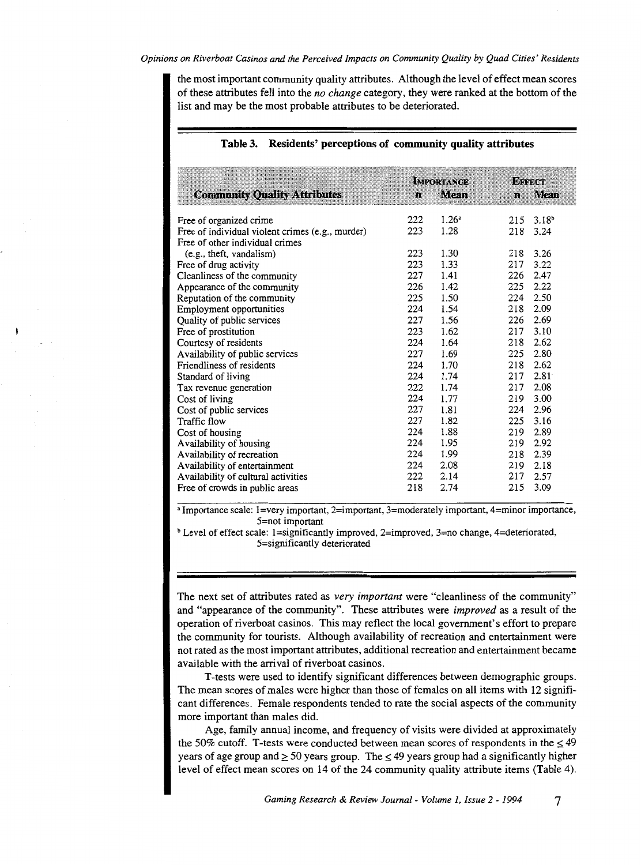the most important community quality attributes. Although the level of effect mean scores of these attributes fell into the *no change* category, they were ranked at the bottom of the list and may be the most probable attributes to be deteriorated.

| <b>Community Quality Attributes</b>                                                 | n   | <b>IMPORTANCE</b><br>Mean | Винаст     | n Mean             |
|-------------------------------------------------------------------------------------|-----|---------------------------|------------|--------------------|
| Free of organized crime                                                             | 222 | $1.26^a$<br>1.28          | 215<br>218 | $3.18^{b}$<br>3.24 |
| Free of individual violent crimes (e.g., murder)<br>Free of other individual crimes | 223 |                           |            |                    |
| (e.g., theft, vandalism)                                                            | 223 | 1.30                      | 218 3.26   |                    |
| Free of drug activity                                                               | 223 | 1.33                      | 217        | 3.22               |
| Cleanliness of the community                                                        | 227 | 1.41                      | 226        | 2.47               |
| Appearance of the community                                                         | 226 | 1.42                      | 225        | 2.22               |
| Reputation of the community                                                         | 225 | 1.50                      | 224        | 2.50               |
| Employment opportunities                                                            | 224 | 1.54                      | 218        | 2.09               |
| Quality of public services                                                          | 227 | 1.56                      | 226        | 2.69               |
| Free of prostitution                                                                | 223 | 1.62                      | 217        | 3.10               |
| Courtesy of residents                                                               | 224 | 1.64                      | 218        | 2.62               |
| Availability of public services                                                     | 227 | 1.69                      | 225        | 2.80               |
| Friendliness of residents                                                           | 224 | 1.70                      | 218        | 2.62               |
| Standard of living                                                                  | 224 | 1.74                      | 217        | 2.81               |
| Tax revenue generation                                                              | 222 | 1.74                      | 217        | 2.08               |
| Cost of living                                                                      | 224 | 1.77                      | 219        | 3.00               |
| Cost of public services                                                             | 227 | 1.81                      | 224        | 2.96               |
| Traffic flow                                                                        | 227 | 1.82                      | 225        | 3.16               |
| Cost of housing                                                                     | 224 | 1.88                      | 219        | 2.89               |
| Availability of housing                                                             | 224 | 1.95                      | 219        | 2.92               |
| Availability of recreation                                                          | 224 | 1.99                      | 218        | 2.39               |
| Availability of entertainment                                                       | 224 | 2.08                      | 219        | 2.18               |
| Availability of cultural activities                                                 | 222 | 2.14                      | 217        | 2.57               |
| Free of crowds in public areas                                                      | 218 | 2.74                      | 215        | 3.09               |

#### **Table 3. Residents' perceptions of community quality attributes**

• Importance scale: l=very important, 2=important, 3=moderately important, 4=minor importance, 5=not important

<sup>b</sup> Level of effect scale: 1=significantly improved, 2=improved, 3=no change, 4=deteriorated, 5=significantly deteriorated

The next set of attributes rated as *very important* were "cleanliness of the community" and "appearance of the community". These attributes were *improved* as a result of the operation of riverboat casinos. This may reflect the local government's effort to prepare the community for tourists. Although availability of recreation and entertainment were not rated as the most important attributes, additional recreation and entertainment became available with the arrival of riverboat casinos.

T -tests were used to identify significant differences between demographic groups. The mean scores of males were higher than those of females on all items with 12 significant differences. Female respondents tended to rate the social aspects of the community more important than males did.

Age, family annual income, and frequency of visits were divided at approximately the 50% cutoff. T-tests were conducted between mean scores of respondents in the  $\leq$  49 years of age group and  $\geq 50$  years group. The  $\leq 49$  years group had a significantly higher level of effect mean scores on 14 of the 24 community quality attribute items (Table 4).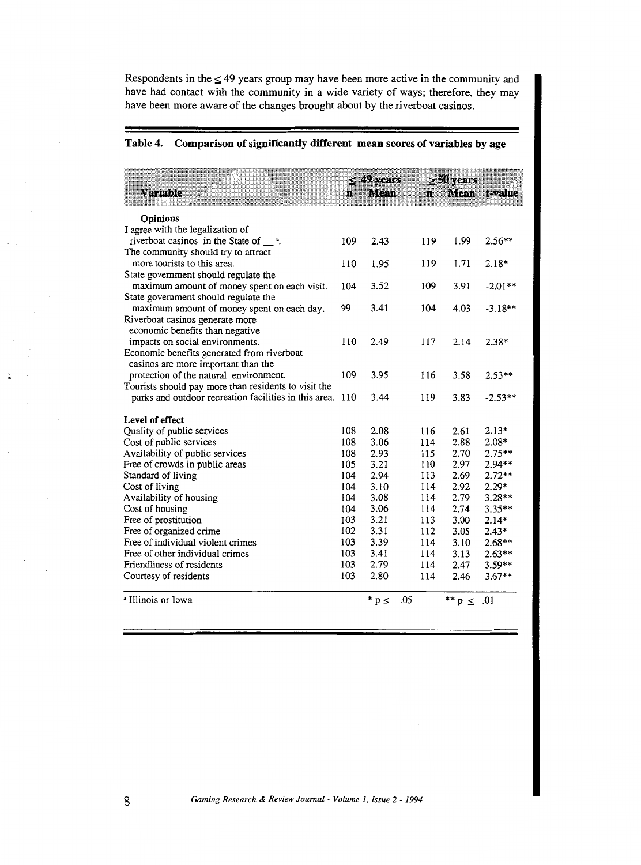Respondents in the  $\leq$  49 years group may have been more active in the community and have had contact with the community in a wide variety of ways; therefore, they may have been more aware of the changes brought about by the riverboat casinos.

#### Table 4. Comparison of significantly different mean scores of variables by age

| <b>Variable</b>                                                                                               | л.  | $\leq$ 49 years<br>Mean | m   | $\geq 50$ years<br>Mean. | t-value   |
|---------------------------------------------------------------------------------------------------------------|-----|-------------------------|-----|--------------------------|-----------|
| <b>Opinions</b>                                                                                               |     |                         |     |                          |           |
| I agree with the legalization of                                                                              |     |                         |     |                          |           |
| riverboat casinos in the State of $\_\_\$ <sup>a</sup> .                                                      | 109 | 2.43                    | 119 | 1.99                     | $2.56**$  |
| The community should try to attract                                                                           |     |                         |     |                          |           |
| more tourists to this area.                                                                                   | 110 | 1.95                    | 119 | 1.71                     | $2.18*$   |
| State government should regulate the                                                                          |     |                         |     |                          |           |
| maximum amount of money spent on each visit.                                                                  | 104 | 3.52                    | 109 | 3.91                     | $-2.01**$ |
| State government should regulate the                                                                          |     |                         |     |                          |           |
| maximum amount of money spent on each day.                                                                    | 99  | 3.41                    | 104 | 4.03                     | $-3.18**$ |
| Riverboat casinos generate more                                                                               |     |                         |     |                          |           |
| economic benefits than negative                                                                               |     |                         |     |                          |           |
| impacts on social environments.                                                                               | 110 | 2.49                    | 117 | 2.14                     | $2.38*$   |
| Economic benefits generated from riverboat                                                                    |     |                         |     |                          |           |
| casinos are more important than the                                                                           | 109 | 3.95                    | 116 | 3.58                     |           |
| protection of the natural environment.                                                                        |     |                         |     |                          | $2.53**$  |
| Tourists should pay more than residents to visit the<br>parks and outdoor recreation facilities in this area. | 110 | 3.44                    | 119 | 3.83                     | $-2.53**$ |
|                                                                                                               |     |                         |     |                          |           |
| Level of effect                                                                                               |     |                         |     |                          |           |
| Quality of public services                                                                                    | 108 | 2.08                    | 116 | 2.61                     | $2.13*$   |
| Cost of public services                                                                                       | 108 | 3.06                    | 114 | 2.88                     | $2.08*$   |
| Availability of public services                                                                               | 108 | 2.93                    | 115 | 2.70                     | $2.75**$  |
| Free of crowds in public areas                                                                                | 105 | 3.21                    | 110 | 2.97                     | 2.94**    |
| Standard of living                                                                                            | 104 | 2.94                    | 113 | 2.69                     | $2.72**$  |
| Cost of living                                                                                                | 104 | 3.10                    | 114 | 2.92                     | $2.29*$   |
| Availability of housing                                                                                       | 104 | 3.08                    | 114 | 2.79                     | 3.28**    |
| Cost of housing                                                                                               | 104 | 3.06                    | 114 | 2.74                     | $3.35**$  |
| Free of prostitution                                                                                          | 103 | 3.21                    | 113 | 3.00                     | $2.14*$   |
| Free of organized crime                                                                                       | 102 | 3.31                    | 112 | 3.05                     | $2.43*$   |
| Free of individual violent crimes                                                                             | 103 | 3.39                    | 114 | 3.10                     | $2.68**$  |
| Free of other individual crimes                                                                               | 103 | 3.41                    | 114 | 3.13                     | $2.63**$  |
| Friendliness of residents                                                                                     | 103 | 2.79                    | 114 | 2.47                     | $3.59**$  |
| Courtesy of residents                                                                                         | 103 | 2.80                    | 114 | 2.46                     | $3.67**$  |
| <sup>a</sup> Illinois or Iowa                                                                                 |     | $* p \leq$              | .05 | ** $p \le .01$           |           |

8 *Gaming Research* & *Review Journal- Volume 1, Issue* 2- *<sup>1994</sup>*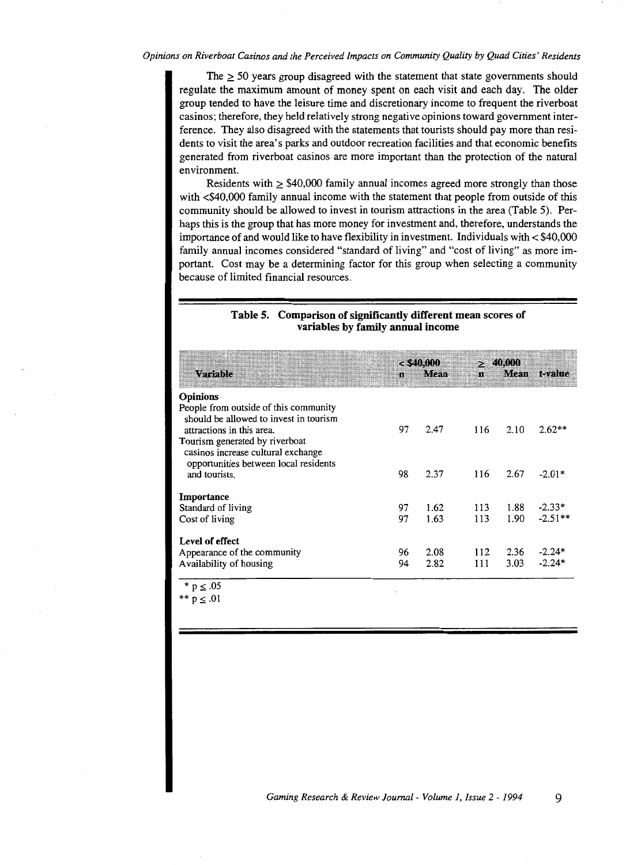The  $>$  50 years group disagreed with the statement that state governments should regulate the maximum amount of money spent on each visit and each day. The older group tended to have the leisure time and discretionary income to frequent the riverboat casinos; therefore, they held relatively strong negative opinions toward government interference. They also disagreed with the statements that tourists should pay more than residents to visit the area's parks and outdoor recreation facilities and that economic benefits generated from riverboat casinos are more important than the protection of the natural environment.

Residents with  $\geq$  \$40,000 family annual incomes agreed more strongly than those with  $\leq$  \$40,000 family annual income with the statement that people from outside of this community should be allowed to invest in tourism attractions in the area (Table 5). Perhaps this is the group that has more money for investment and, therefore, understands the importance of and would like to have flexibility in investment. Individuals with  $<$  \$40,000 family annual incomes considered "standard of living" and "cost of living" as more important. Cost may be a determining factor for this group when selecting a community because of limited financial resources.

#### Table 5. Comparison of significantly different mean scores of variables by family annual income

| Variable                                                                                                      | m  | $<$ \$40,000<br>Mean. | 71 E | > 40,000 | Mean t-value |
|---------------------------------------------------------------------------------------------------------------|----|-----------------------|------|----------|--------------|
| <b>Opinions</b>                                                                                               |    |                       |      |          |              |
| People from outside of this community<br>should be allowed to invest in tourism<br>attractions in this area.  | 97 | 2.47                  | 116  | 2.10     | $2.62**$     |
| Tourism generated by riverboat<br>casinos increase cultural exchange<br>opportunities between local residents |    |                       |      |          |              |
| and tourists.                                                                                                 | 98 | 2.37                  | 116  | 2.67     | $-2.01*$     |
| Importance                                                                                                    |    |                       |      |          |              |
| Standard of living                                                                                            | 97 | 1.62                  | 113  | 1.88     | $-2.33*$     |
| Cost of living                                                                                                | 97 | 1.63                  | 113  | 1.90     | $-2.51**$    |
| Level of effect                                                                                               |    |                       |      |          |              |
| Appearance of the community                                                                                   | 96 | 2.08                  | 112  | 2.36     | $-2.24*$     |
| Availability of housing                                                                                       | 94 | 2.82                  | 111  | 3.03     | $-2.24*$     |

 $p \leq .05$ 

 $p \leq .01$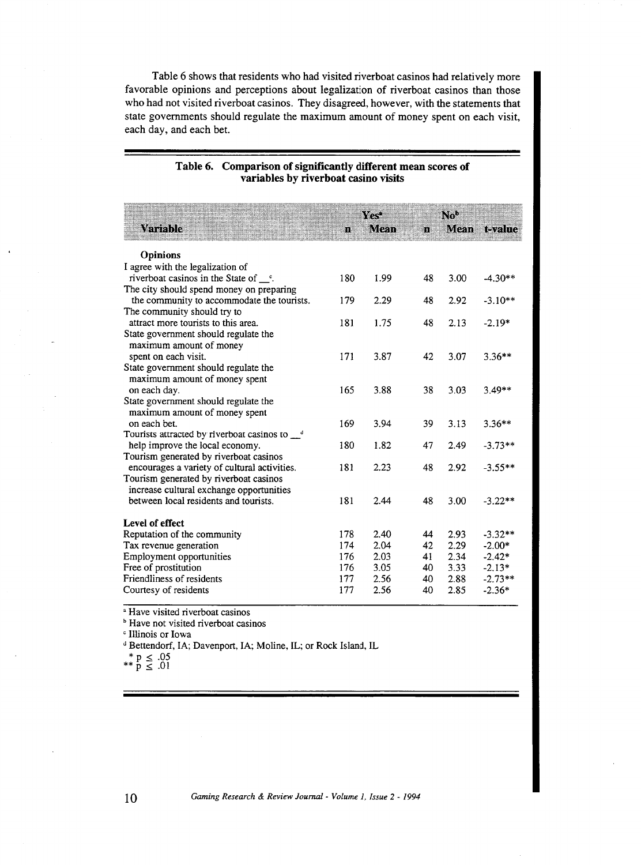Table 6 shows that residents who had visited riverboat casinos had relatively more favorable opinions and perceptions about legalization of riverboat casinos than those who had not visited riverboat casinos. They disagreed, however, with the statements that state governments should regulate the maximum amount of money spent on each visit, each day, and each bet.

| Variable                                                                                  | n   | ra<br>Mean | m  | NW<br>Меан | tevalue   |
|-------------------------------------------------------------------------------------------|-----|------------|----|------------|-----------|
| <b>Opinions</b>                                                                           |     |            |    |            |           |
| I agree with the legalization of                                                          |     |            |    |            |           |
| riverboat casinos in the State of $\degree$ .<br>The city should spend money on preparing | 180 | 1.99       | 48 | 3.00       | $-4.30**$ |
| the community to accommodate the tourists.                                                | 179 | 2.29       | 48 | 2.92       | $-3.10**$ |
| The community should try to                                                               |     |            |    |            |           |
| attract more tourists to this area.                                                       | 181 | 1.75       | 48 | 2.13       | $-2.19*$  |
| State government should regulate the                                                      |     |            |    |            |           |
| maximum amount of money                                                                   |     |            |    |            |           |
| spent on each visit.                                                                      | 171 | 3.87       | 42 | 3.07       | $3.36**$  |
| State government should regulate the                                                      |     |            |    |            |           |
| maximum amount of money spent                                                             |     |            |    |            |           |
| on each day.                                                                              | 165 | 3.88       | 38 | 3.03       | $3.49**$  |
| State government should regulate the<br>maximum amount of money spent                     |     |            |    |            |           |
| on each bet.                                                                              | 169 | 3.94       | 39 | 3.13       | $3.36**$  |
| Tourists attracted by riverboat casinos to <sup>d</sup>                                   |     |            |    |            |           |
| help improve the local economy.                                                           | 180 | 1.82       | 47 | 2.49       | $-3.73**$ |
| Tourism generated by riverboat casinos                                                    |     |            |    |            |           |
| encourages a variety of cultural activities.                                              | 181 | 2.23       | 48 | 2.92       | $-3.55**$ |
| Tourism generated by riverboat casinos                                                    |     |            |    |            |           |
| increase cultural exchange opportunities                                                  |     |            |    |            |           |
| between local residents and tourists.                                                     | 181 | 2.44       | 48 | 3.00       | $-3.22**$ |
| Level of effect                                                                           |     |            |    |            |           |
| Reputation of the community                                                               | 178 | 2.40       | 44 | 2.93       | $-3.32**$ |
| Tax revenue generation                                                                    | 174 | 2.04       | 42 | 2.29       | $-2.00*$  |
| Employment opportunities                                                                  | 176 | 2.03       | 41 | 2.34       | $-2.42*$  |
| Free of prostitution                                                                      | 176 | 3.05       | 40 | 3.33       | $-2.13*$  |
| Friendliness of residents                                                                 | 177 | 2.56       | 40 | 2.88       | $-2.73**$ |
| Courtesy of residents                                                                     | 177 | 2.56       | 40 | 2.85       | $-2.36*$  |

#### Table 6. Comparison of significantly different mean scores of variables by riverboat casino visits

<sup>a</sup> Have visited riverboat casinos

<sup>b</sup> Have not visited riverboat casinos

c Illinois or Iowa

<sup>d</sup> Bettendorf, IA; Davenport, IA; Moline, IL; or Rock Island, IL

 $*$   $*$   $p \le .05$ <br> $*$   $*$   $p \le .01$ 

---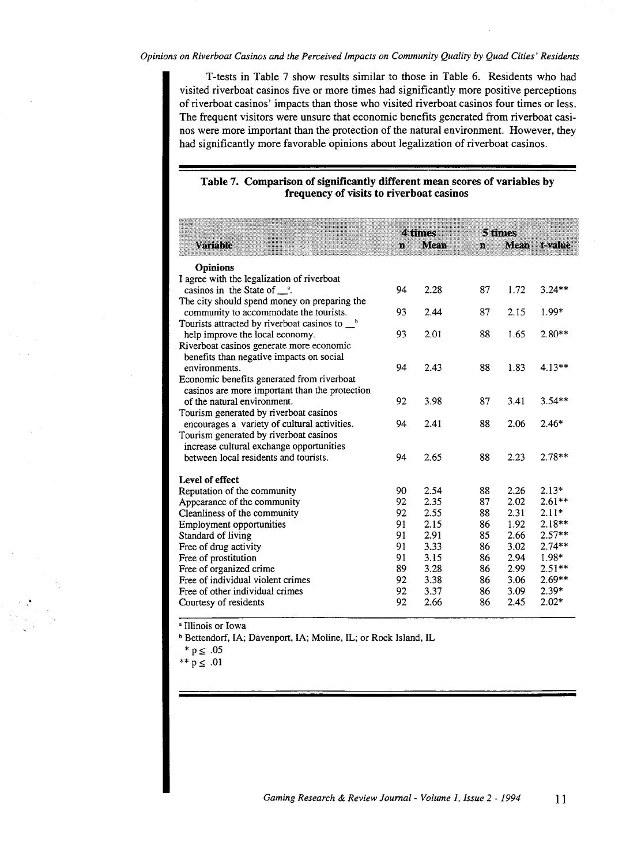T-tests in Table 7 show results similar to those in Table 6. Residents who had visited riverboat casinos five or more times had significantly more positive perceptions of riverboat casinos' impacts than those who visited riverboat casinos four times or less. The frequent visitors were unsure that economic benefits generated from riverboat casinos were more important than the protection of the natural environment. However, they had significantly more favorable opinions about legalization of riverboat casinos.

#### Table 7. Comparison of significantly different mean scores of variables by frequency of visits to riverboat casinos

|                                                                                   |    | 4 times |    | 5 filmes |              |  |
|-----------------------------------------------------------------------------------|----|---------|----|----------|--------------|--|
| Variable                                                                          | m. | Mean    | m  | Mezri    | <b>Lyane</b> |  |
| <b>Opinions</b>                                                                   |    |         |    |          |              |  |
| I agree with the legalization of riverboat                                        |    |         |    |          |              |  |
| casinos in the State of $a$ .                                                     | 94 | 2.28    | 87 | 1.72     | $3.24**$     |  |
| The city should spend money on preparing the                                      |    |         |    |          |              |  |
| community to accommodate the tourists.                                            | 93 | 2.44    | 87 | 2.15     | 1.99*        |  |
| Tourists attracted by riverboat casinos to $\mathcal{L}^b$                        |    |         |    |          |              |  |
| help improve the local economy.                                                   | 93 | 2.01    | 88 | 1.65     | $2.80**$     |  |
| Riverboat casinos generate more economic                                          |    |         |    |          |              |  |
| benefits than negative impacts on social                                          |    |         |    |          |              |  |
| environments.                                                                     | 94 | 2.43    | 88 | 1.83     | $4.13**$     |  |
| Economic benefits generated from riverboat                                        |    |         |    |          |              |  |
| casinos are more important than the protection                                    |    |         |    |          |              |  |
| of the natural environment.                                                       | 92 | 3.98    | 87 | 3.41     | $3.54**$     |  |
| Tourism generated by riverboat casinos                                            |    | 2.41    |    |          | $2.46*$      |  |
| encourages a variety of cultural activities.                                      | 94 |         | 88 | 2.06     |              |  |
| Tourism generated by riverboat casinos                                            |    |         |    |          |              |  |
| increase cultural exchange opportunities<br>between local residents and tourists. | 94 | 2.65    | 88 | 2.23     | $2.78**$     |  |
|                                                                                   |    |         |    |          |              |  |
| Level of effect                                                                   |    |         |    |          |              |  |
| Reputation of the community                                                       | 90 | 2.54    | 88 | 2.26     | $2.13*$      |  |
| Appearance of the community                                                       | 92 | 2.35    | 87 | 2.02     | $2.61**$     |  |
| Cleanliness of the community                                                      | 92 | 2.55    | 88 | 2.31     | $2.11*$      |  |
| <b>Employment opportunities</b>                                                   | 91 | 2.15    | 86 | 1.92     | $2.18**$     |  |
| Standard of living                                                                | 91 | 2.91    | 85 | 2.66     | $2.57**$     |  |
| Free of drug activity                                                             | 91 | 3.33    | 86 | 3.02     | $2.74**$     |  |
| Free of prostitution                                                              | 91 | 3.15    | 86 | 2.94     | 1.98*        |  |
| Free of organized crime                                                           | 89 | 3.28    | 86 | 2.99     | $2.51**$     |  |
| Free of individual violent crimes                                                 | 92 | 3.38    | 86 | 3.06     | $2.69**$     |  |
| Free of other individual crimes                                                   | 92 | 3.37    | 86 | 3.09     | $2.39*$      |  |
| Courtesy of residents                                                             | 92 | 2.66    | 86 | 2.45     | $2.02*$      |  |

• Illinois or Iowa

<sup>b</sup> Bettendorf, IA; Davenport, IA; Moline, IL; or Rock Island, IL

 $*$  p  $\leq .05$ 

\*\*  $p \le .01$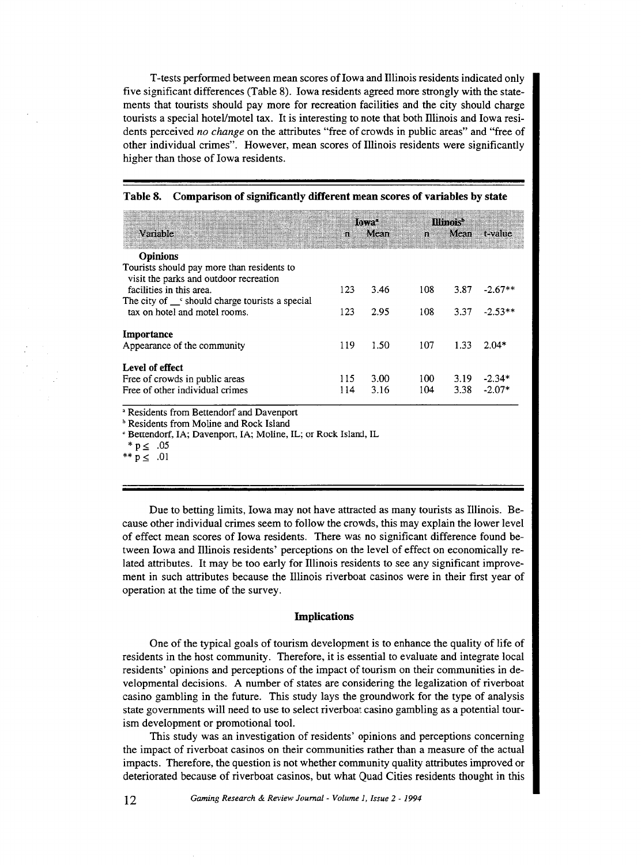T -tests performed between mean scores oflowa and Illinois residents indicated only five significant differences (Table 8). Iowa residents agreed more strongly with the statements that tourists should pay more for recreation facilities and the city should charge tourists a special hotel/motel tax. It is interesting to note that both lllinois and Iowa residents perceived *no change* on the attributes "free of crowds in public areas" and "free of other individual crimes". However, mean scores of Illinois residents were significantly higher than those of Iowa residents.

|                                                                                      |              | llavet | <b>Himore</b> |      |           |  |
|--------------------------------------------------------------------------------------|--------------|--------|---------------|------|-----------|--|
| Variable                                                                             | $\mathbf{B}$ | Mean   | зą.           | Mean | t-value   |  |
| <b>Opinions</b>                                                                      |              |        |               |      |           |  |
| Tourists should pay more than residents to<br>visit the parks and outdoor recreation |              |        |               |      |           |  |
| facilities in this area.                                                             | 123          | 3.46   | 108           | 3.87 | $-2.67**$ |  |
| The city of $\Gamma$ should charge tourists a special                                |              |        |               |      |           |  |
| tax on hotel and motel rooms.                                                        | 123          | 2.95   | 108           | 3.37 | $-2.53**$ |  |
| Importance                                                                           |              |        |               |      |           |  |
| Appearance of the community                                                          | 119          | 1.50   | 107           | 1.33 | $2.04*$   |  |
| Level of effect                                                                      |              |        |               |      |           |  |
| Free of crowds in public areas                                                       | 115          | 3.00   | 100           | 3.19 | $-2.34*$  |  |
| Free of other individual crimes                                                      | 114          | 3.16   | 104           | 3.38 | $-2.07*$  |  |

#### Table 8. Comparison of significantly different mean scores of variables by state

• Residents from Bettendorf and Davenport

**b** Residents from Moline and Rock Island

c Bettendorf, lA; Davenport, lA; Moline, IL; or Rock Island, IL

\*  $p \leq .05$ 

\*\*  $p \leq .01$ 

Due to betting limits, Iowa may not have attracted as many tourists as Illinois. Because other individual crimes seem to follow the crowds, this may explain the lower level of effect mean scores of Iowa residents. There was no significant difference found between Iowa and lllinois residents' perceptions on the level of effect on economically related attributes. It may be too early for Illinois residents to see any significant improvement in such attributes because the Illinois riverboat casinos were in their first year of operation at the time of the survey.

#### Implications

One of the typical goals of tourism development is to enhance the quality of life of residents in the host community. Therefore, it is essential to evaluate and integrate local residents' opinions and perceptions of the impact of tourism on their communities in developmental decisions. A number of states are considering the legalization of riverboat casino gambling in the future. This study lays the groundwork for the type of analysis state governments will need to use to select riverboat casino gambling as a potential tourism development or promotional tool.

This study was an investigation of residents' opinions and perceptions concerning the impact of riverboat casinos on their communities rather than a measure of the actual impacts. Therefore, the question is not whether community quality attributes improved or deteriorated because of riverboat casinos, but what Quad Cities residents thought in this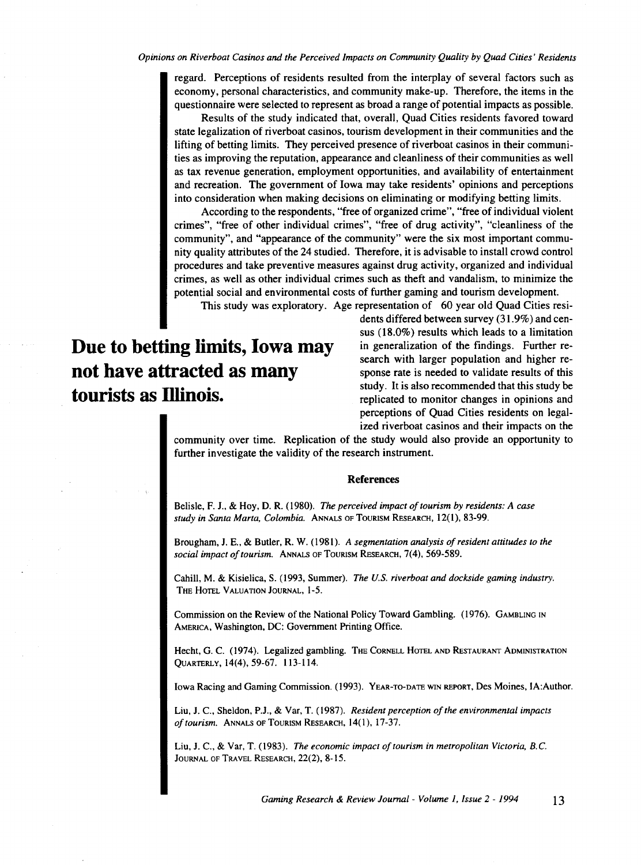regard. Perceptions of residents resulted from the interplay of several factors such as economy, personal characteristics, and community make-up. Therefore, the items in the questionnaire were selected to represent as broad a range of potential impacts as possible.

Results of the study indicated that, overall, Quad Cities residents favored toward state legalization of riverboat casinos, tourism development in their communities and the lifting of betting limits. They perceived presence of riverboat casinos in their communities as improving the reputation, appearance and cleanliness of their communities as well as tax revenue generation, employment opportunities, and availability of entertainment and recreation. The government of Iowa may take residents' opinions and perceptions into consideration when making decisions on eliminating or modifying betting limits.

According to the respondents, "free of organized crime", "free of individual violent crimes", "free of other individual crimes", "free of drug activity", "cleanliness of the community", and "appearance of the community" were the six most important community quality attributes of the 24 studied. Therefore, it is advisable to install crowd control procedures and take preventive measures against drug activity, organized and individual crimes, as well as other individual crimes such as theft and vandalism, to minimize the potential social and environmental costs of further gaming and tourism development.

This study was exploratory. Age representation of 60 year old Quad Cities resi-

**Due to betting limits, Iowa may not have attracted as many tourists as Dlinois.** 

dents differed between survey (31. 9%) and census (18.0%) results which leads to a limitation in generalization of the findings. Further research with larger population and higher response rate is needed to validate results of this study. It is also recommended that this study be replicated to monitor changes in opinions and perceptions of Quad Cities residents on legalized riverboat casinos and their impacts on the

community over time. Replication of the study would also provide an opportunity to further investigate the validity of the research instrument.

#### **References**

Belisle, F. J., & Hoy, D. R. ( 1980). *The perceived impact of tourism by residents: A case study in Santa Marta, Colombia.* ANNALS OF ToURISM RESEARCH, 12(1), 83-99.

Brougham, J. E., & Butler, R. W. (1981). *A segmentation analysis of resident attitudes to the social impact of tourism.* ANNALS OF TouRISM REsEARCH, 7(4), 569-589.

Cahill, M. & Kisielica, S. (1993, Summer). *The U.S. riverboat and dockside gaming industry.*  THE HoTEL VALUATION JouRNAL, 1-5.

Commission on the Review of the National Policy Toward Gambling. (1976). GAMBLING IN AMERICA, Washington, DC: Government Printing Office.

Hecht, G. C. (1974). Legalized gambling. THE CoRNELL HoTEL AND RESTAURANT ADMINISTRATION QUARTERLY, 14(4), 59-67. 113-114.

Iowa Racing and Gaming Commission. (1993). YEAR-TO-DATE WIN REPORT, Des Moines, IA:Author.

Liu, J. C., Sheldon, P.J., & Var, T. (1987). *Resident perception of the environmental impacts oftourism.* ANNALS OF TOURISM RESEARCH, 14(1), 17-37.

Liu, J. C., & Var, T. (1983). *The economic impact of tourism in metropolitan Victoria, B.C.*  JOURNAL OF TRAVEL RESEARCH, 22(2), 8-15.